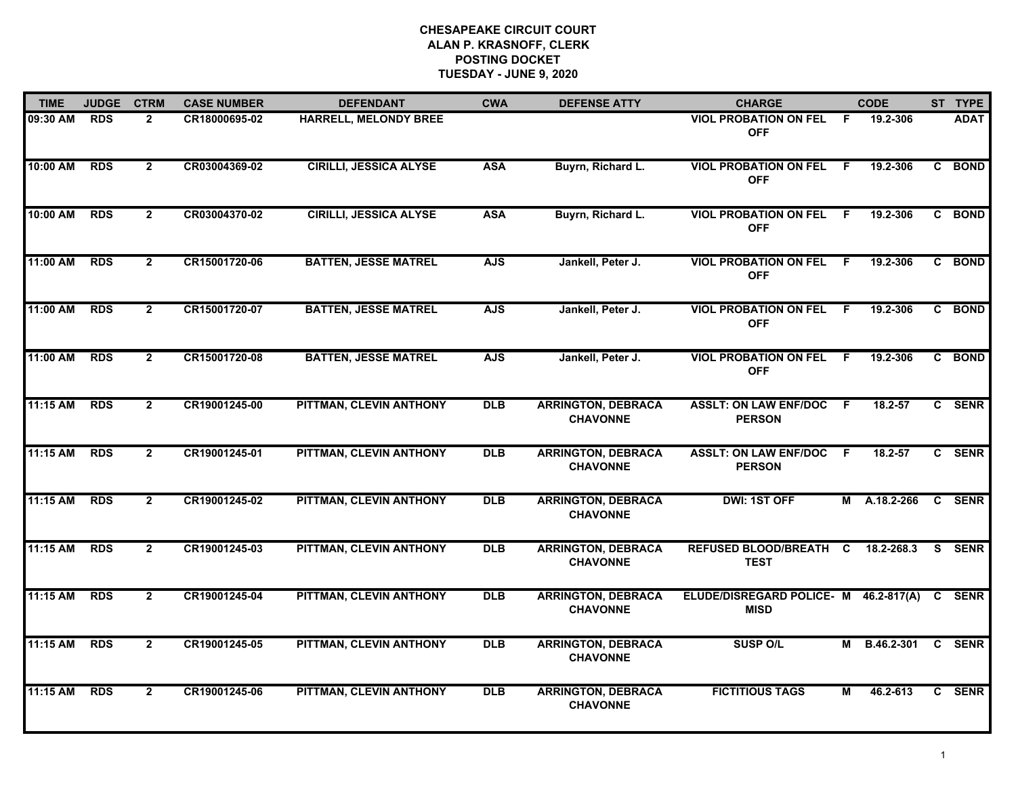## **CHESAPEAKE CIRCUIT COURT ALAN P. KRASNOFF, CLERK POSTING DOCKET TUESDAY - JUNE 9, 2020**

| <b>TIME</b> | <b>JUDGE</b> | <b>CTRM</b>    | <b>CASE NUMBER</b> | <b>DEFENDANT</b>              | <b>CWA</b> | <b>DEFENSE ATTY</b>                          | <b>CHARGE</b>                                               |                | <b>CODE</b>       | ST TYPE     |
|-------------|--------------|----------------|--------------------|-------------------------------|------------|----------------------------------------------|-------------------------------------------------------------|----------------|-------------------|-------------|
| 09:30 AM    | <b>RDS</b>   | $\overline{2}$ | CR18000695-02      | <b>HARRELL, MELONDY BREE</b>  |            |                                              | <b>VIOL PROBATION ON FEL</b><br><b>OFF</b>                  | -F             | 19.2-306          | <b>ADAT</b> |
| 10:00 AM    | <b>RDS</b>   | $\overline{2}$ | CR03004369-02      | <b>CIRILLI, JESSICA ALYSE</b> | <b>ASA</b> | Buyrn, Richard L.                            | <b>VIOL PROBATION ON FEL</b><br><b>OFF</b>                  | $\overline{F}$ | 19.2-306          | C BOND      |
| 10:00 AM    | <b>RDS</b>   | $\mathbf{2}$   | CR03004370-02      | <b>CIRILLI, JESSICA ALYSE</b> | <b>ASA</b> | Buyrn, Richard L.                            | <b>VIOL PROBATION ON FEL</b><br><b>OFF</b>                  | - F            | 19.2-306          | C BOND      |
| 11:00 AM    | <b>RDS</b>   | $\overline{2}$ | CR15001720-06      | <b>BATTEN, JESSE MATREL</b>   | <b>AJS</b> | Jankell, Peter J.                            | <b>VIOL PROBATION ON FEL</b><br><b>OFF</b>                  | - F            | 19.2-306          | C BOND      |
| 11:00 AM    | <b>RDS</b>   | $\overline{2}$ | CR15001720-07      | <b>BATTEN, JESSE MATREL</b>   | <b>AJS</b> | Jankell, Peter J.                            | <b>VIOL PROBATION ON FEL F</b><br><b>OFF</b>                |                | 19.2-306          | C BOND      |
| 11:00 AM    | <b>RDS</b>   | $\overline{2}$ | CR15001720-08      | <b>BATTEN, JESSE MATREL</b>   | <b>AJS</b> | Jankell, Peter J.                            | <b>VIOL PROBATION ON FEL F</b><br><b>OFF</b>                |                | 19.2-306          | C BOND      |
| 11:15 AM    | <b>RDS</b>   | $\overline{2}$ | CR19001245-00      | PITTMAN, CLEVIN ANTHONY       | <b>DLB</b> | <b>ARRINGTON, DEBRACA</b><br><b>CHAVONNE</b> | <b>ASSLT: ON LAW ENF/DOC F</b><br><b>PERSON</b>             |                | 18.2-57           | C SENR      |
| 11:15 AM    | <b>RDS</b>   | $\overline{2}$ | CR19001245-01      | PITTMAN, CLEVIN ANTHONY       | <b>DLB</b> | <b>ARRINGTON, DEBRACA</b><br><b>CHAVONNE</b> | <b>ASSLT: ON LAW ENF/DOC F</b><br><b>PERSON</b>             |                | 18.2-57           | C SENR      |
| 11:15 AM    | <b>RDS</b>   | $\overline{2}$ | CR19001245-02      | PITTMAN, CLEVIN ANTHONY       | <b>DLB</b> | <b>ARRINGTON, DEBRACA</b><br><b>CHAVONNE</b> | <b>DWI: 1ST OFF</b>                                         |                | M A.18.2-266      | C SENR      |
| 11:15 AM    | <b>RDS</b>   | $\mathbf{2}$   | CR19001245-03      | PITTMAN, CLEVIN ANTHONY       | <b>DLB</b> | <b>ARRINGTON, DEBRACA</b><br><b>CHAVONNE</b> | REFUSED BLOOD/BREATH C<br><b>TEST</b>                       |                | 18.2-268.3        | S SENR      |
| 11:15 AM    | <b>RDS</b>   | $\overline{2}$ | CR19001245-04      | PITTMAN, CLEVIN ANTHONY       | <b>DLB</b> | <b>ARRINGTON, DEBRACA</b><br><b>CHAVONNE</b> | ELUDE/DISREGARD POLICE- M 46.2-817(A) C SENR<br><b>MISD</b> |                |                   |             |
| 11:15 AM    | <b>RDS</b>   | $\overline{2}$ | CR19001245-05      | PITTMAN, CLEVIN ANTHONY       | <b>DLB</b> | <b>ARRINGTON, DEBRACA</b><br><b>CHAVONNE</b> | <b>SUSP O/L</b>                                             | M              | B.46.2-301 C SENR |             |
| 11:15 AM    | <b>RDS</b>   | $\overline{2}$ | CR19001245-06      | PITTMAN, CLEVIN ANTHONY       | <b>DLB</b> | <b>ARRINGTON, DEBRACA</b><br><b>CHAVONNE</b> | <b>FICTITIOUS TAGS</b>                                      | М              | 46.2-613          | C SENR      |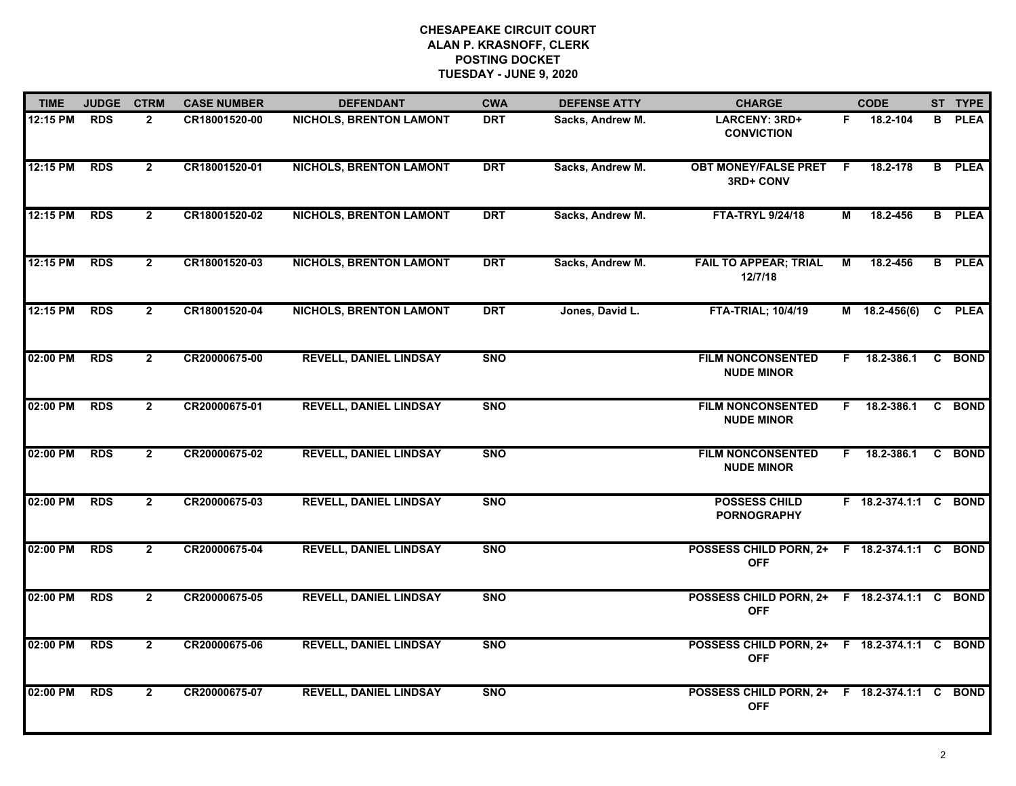## **CHESAPEAKE CIRCUIT COURT ALAN P. KRASNOFF, CLERK POSTING DOCKET TUESDAY - JUNE 9, 2020**

| <b>TIME</b> | <b>JUDGE</b> | <b>CTRM</b>    | <b>CASE NUMBER</b> | <b>DEFENDANT</b>               | <b>CWA</b> | <b>DEFENSE ATTY</b> | <b>CHARGE</b>                                              |    | <b>CODE</b>           |              | ST TYPE       |
|-------------|--------------|----------------|--------------------|--------------------------------|------------|---------------------|------------------------------------------------------------|----|-----------------------|--------------|---------------|
| 12:15 PM    | <b>RDS</b>   | $\overline{2}$ | CR18001520-00      | <b>NICHOLS, BRENTON LAMONT</b> | <b>DRT</b> | Sacks, Andrew M.    | LARCENY: 3RD+<br><b>CONVICTION</b>                         | F. | 18.2-104              | B            | <b>PLEA</b>   |
| 12:15 PM    | <b>RDS</b>   | $\overline{2}$ | CR18001520-01      | <b>NICHOLS, BRENTON LAMONT</b> | <b>DRT</b> | Sacks, Andrew M.    | <b>OBT MONEY/FALSE PRET</b><br>3RD+ CONV                   | -F | 18.2-178              |              | <b>B</b> PLEA |
| 12:15 PM    | <b>RDS</b>   | $\overline{2}$ | CR18001520-02      | <b>NICHOLS, BRENTON LAMONT</b> | <b>DRT</b> | Sacks, Andrew M.    | <b>FTA-TRYL 9/24/18</b>                                    | М  | 18.2-456              |              | <b>B</b> PLEA |
| 12:15 PM    | <b>RDS</b>   | $\overline{2}$ | CR18001520-03      | <b>NICHOLS, BRENTON LAMONT</b> | <b>DRT</b> | Sacks, Andrew M.    | <b>FAIL TO APPEAR; TRIAL</b><br>12/7/18                    | М  | 18.2-456              |              | <b>B</b> PLEA |
| 12:15 PM    | <b>RDS</b>   | $\overline{2}$ | CR18001520-04      | <b>NICHOLS, BRENTON LAMONT</b> | <b>DRT</b> | Jones, David L.     | <b>FTA-TRIAL; 10/4/19</b>                                  |    | $M$ 18.2-456(6)       | $\mathbf{c}$ | <b>PLEA</b>   |
| 02:00 PM    | <b>RDS</b>   | $\mathbf{2}$   | CR20000675-00      | <b>REVELL, DANIEL LINDSAY</b>  | <b>SNO</b> |                     | <b>FILM NONCONSENTED</b><br><b>NUDE MINOR</b>              |    | $F = 18.2 - 386.1$    |              | C BOND        |
| 02:00 PM    | <b>RDS</b>   | $\overline{2}$ | CR20000675-01      | <b>REVELL, DANIEL LINDSAY</b>  | <b>SNO</b> |                     | <b>FILM NONCONSENTED</b><br><b>NUDE MINOR</b>              |    | $F$ 18.2-386.1        |              | C BOND        |
| 02:00 PM    | <b>RDS</b>   | $\overline{2}$ | CR20000675-02      | <b>REVELL, DANIEL LINDSAY</b>  | <b>SNO</b> |                     | <b>FILM NONCONSENTED</b><br><b>NUDE MINOR</b>              |    | $F$ 18.2-386.1        |              | C BOND        |
| 02:00 PM    | <b>RDS</b>   | $\overline{2}$ | CR20000675-03      | <b>REVELL, DANIEL LINDSAY</b>  | <b>SNO</b> |                     | <b>POSSESS CHILD</b><br><b>PORNOGRAPHY</b>                 |    | F 18.2-374.1:1 C BOND |              |               |
| 02:00 PM    | <b>RDS</b>   | $\overline{2}$ | CR20000675-04      | <b>REVELL, DANIEL LINDSAY</b>  | <b>SNO</b> |                     | POSSESS CHILD PORN, 2+ F 18.2-374.1:1 C BOND<br><b>OFF</b> |    |                       |              |               |
| 02:00 PM    | <b>RDS</b>   | $\overline{2}$ | CR20000675-05      | <b>REVELL, DANIEL LINDSAY</b>  | <b>SNO</b> |                     | POSSESS CHILD PORN, 2+ F 18.2-374.1:1 C BOND<br><b>OFF</b> |    |                       |              |               |
| 02:00 PM    | <b>RDS</b>   | $\overline{2}$ | CR20000675-06      | <b>REVELL, DANIEL LINDSAY</b>  | <b>SNO</b> |                     | POSSESS CHILD PORN, 2+ F 18.2-374.1:1 C BOND<br><b>OFF</b> |    |                       |              |               |
| 02:00 PM    | <b>RDS</b>   | $\overline{2}$ | CR20000675-07      | <b>REVELL, DANIEL LINDSAY</b>  | <b>SNO</b> |                     | POSSESS CHILD PORN, 2+ F 18.2-374.1:1 C BOND<br><b>OFF</b> |    |                       |              |               |